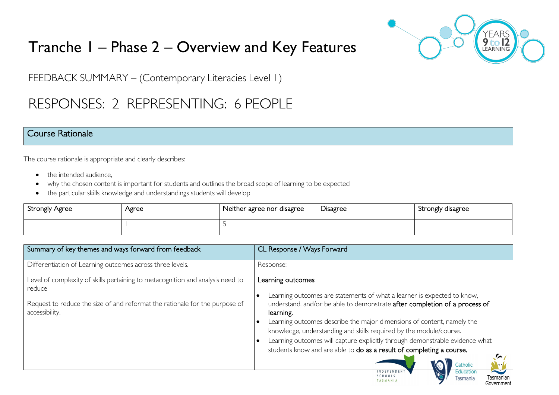# Tranche 1 – Phase 2 – Overview and Key Features



FEEDBACK SUMMARY – (Contemporary Literacies Level 1)

# RESPONSES: 2 REPRESENTING: 6 PEOPLE

### Course Rationale

The course rationale is appropriate and clearly describes:

- the intended audience.
- why the chosen content is important for students and outlines the broad scope of learning to be expected
- the particular skills knowledge and understandings students will develop

| Strongly Agree | Agree | Neither agree nor disagree | -<br><b>Disagree</b> | Strongly disagree |
|----------------|-------|----------------------------|----------------------|-------------------|
|                |       |                            |                      |                   |

| Summary of key themes and ways forward from feedback                                     | CL Response / Ways Forward                                                                                                                            |
|------------------------------------------------------------------------------------------|-------------------------------------------------------------------------------------------------------------------------------------------------------|
| Differentiation of Learning outcomes across three levels.                                | Response:                                                                                                                                             |
| Level of complexity of skills pertaining to metacognition and analysis need to<br>reduce | Learning outcomes                                                                                                                                     |
| Request to reduce the size of and reformat the rationale for the purpose of              | Learning outcomes are statements of what a learner is expected to know,<br>understand, and/or be able to demonstrate after completion of a process of |
| accessibility.                                                                           | learning.                                                                                                                                             |
|                                                                                          | Learning outcomes describe the major dimensions of content, namely the                                                                                |
|                                                                                          | knowledge, understanding and skills required by the module/course.                                                                                    |
|                                                                                          | Learning outcomes will capture explicitly through demonstrable evidence what                                                                          |
|                                                                                          | students know and are able to do as a result of completing a course.                                                                                  |
|                                                                                          | ◚<br>Catholic                                                                                                                                         |
|                                                                                          | <b>NDEPENDEN</b><br>Education<br>SCHOOLS<br>Tasmanian<br>Tasmania<br><b>TASMANIA</b><br>Government                                                    |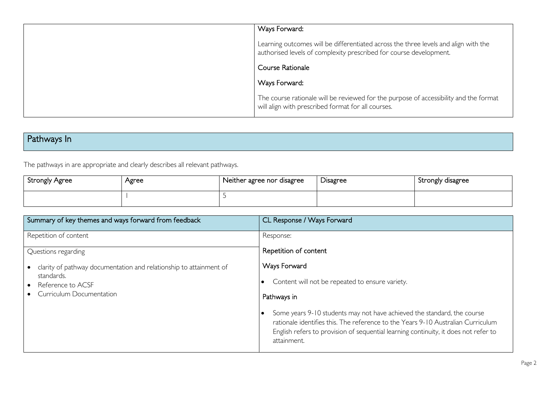| Ways Forward:                                                                                                                                             |
|-----------------------------------------------------------------------------------------------------------------------------------------------------------|
| Learning outcomes will be differentiated across the three levels and align with the<br>authorised levels of complexity prescribed for course development. |
| Course Rationale                                                                                                                                          |
| Ways Forward:                                                                                                                                             |
| The course rationale will be reviewed for the purpose of accessibility and the format<br>will align with prescribed format for all courses.               |

# Pathways In

The pathways in are appropriate and clearly describes all relevant pathways.

| <b>Strongly Agree</b> | Agree | Neither agree nor disagree | -<br><b>Disagree</b> | Strongly disagree |
|-----------------------|-------|----------------------------|----------------------|-------------------|
|                       |       |                            |                      |                   |

| Summary of key themes and ways forward from feedback                             | CL Response / Ways Forward                                                                                                                                                                                                                                        |
|----------------------------------------------------------------------------------|-------------------------------------------------------------------------------------------------------------------------------------------------------------------------------------------------------------------------------------------------------------------|
| Repetition of content                                                            | Response:                                                                                                                                                                                                                                                         |
| Questions regarding                                                              | Repetition of content                                                                                                                                                                                                                                             |
| clarity of pathway documentation and relationship to attainment of<br>standards. | Ways Forward                                                                                                                                                                                                                                                      |
| Reference to ACSF<br>$\bullet$                                                   | Content will not be repeated to ensure variety.                                                                                                                                                                                                                   |
| Curriculum Documentation                                                         | Pathways in                                                                                                                                                                                                                                                       |
|                                                                                  | Some years 9-10 students may not have achieved the standard, the course<br>rationale identifies this. The reference to the Years 9-10 Australian Curriculum<br>English refers to provision of sequential learning continuity, it does not refer to<br>attainment. |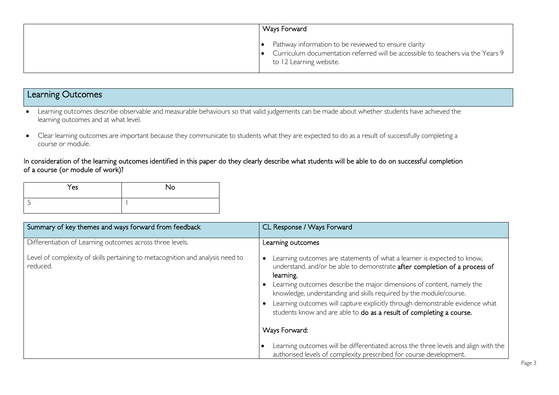| Ways Forward                                                                                                                                                               |
|----------------------------------------------------------------------------------------------------------------------------------------------------------------------------|
| Pathway information to be reviewed to ensure clarity<br>Curriculum documentation referred will be accessible to teachers via the Years 9<br>ه ا<br>to 12 Learning website. |

### Learning Outcomes

- Learning outcomes describe observable and measurable behaviours so that valid judgements can be made about whether students have achieved the learning outcomes and at what level.
- Clear learning outcomes are important because they communicate to students what they are expected to do as a result of successfully completing a course or module.

In consideration of the learning outcomes identified in this paper do they clearly describe what students will be able to do on successful completion of a course (or module of work)?

| Yes | No |
|-----|----|
|     |    |

| Summary of key themes and ways forward from feedback                                       | CL Response / Ways Forward                                                                                                                                                                                                                                                                                                                                                                                                                                                 |
|--------------------------------------------------------------------------------------------|----------------------------------------------------------------------------------------------------------------------------------------------------------------------------------------------------------------------------------------------------------------------------------------------------------------------------------------------------------------------------------------------------------------------------------------------------------------------------|
| Differentiation of Learning outcomes across three levels.                                  | Learning outcomes                                                                                                                                                                                                                                                                                                                                                                                                                                                          |
| Level of complexity of skills pertaining to metacognition and analysis need to<br>reduced. | Learning outcomes are statements of what a learner is expected to know,<br>understand, and/or be able to demonstrate after completion of a process of<br>learning.<br>Learning outcomes describe the major dimensions of content, namely the<br>knowledge, understanding and skills required by the module/course.<br>Learning outcomes will capture explicitly through demonstrable evidence what<br>students know and are able to do as a result of completing a course. |
|                                                                                            | Ways Forward:                                                                                                                                                                                                                                                                                                                                                                                                                                                              |
|                                                                                            | Learning outcomes will be differentiated across the three levels and align with the<br>authorised levels of complexity prescribed for course development.                                                                                                                                                                                                                                                                                                                  |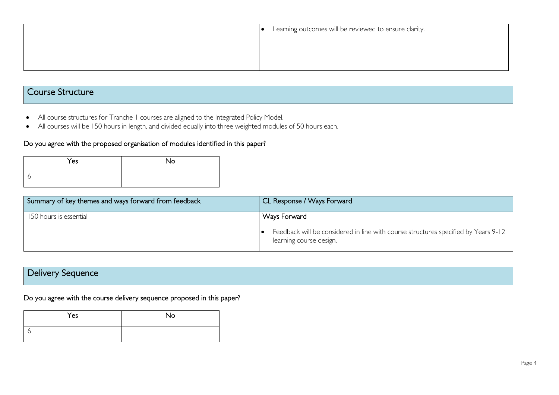## Course Structure

- All course structures for Tranche 1 courses are aligned to the Integrated Policy Model.
- All courses will be 150 hours in length, and divided equally into three weighted modules of 50 hours each.

#### Do you agree with the proposed organisation of modules identified in this paper?

| Yes | No |
|-----|----|
| с   |    |

| Summary of key themes and ways forward from feedback | CL Response / Ways Forward                                                                                                           |
|------------------------------------------------------|--------------------------------------------------------------------------------------------------------------------------------------|
| 150 hours is essential                               | <b>Ways Forward</b><br>Feedback will be considered in line with course structures specified by Years 9-12<br>learning course design. |

# Delivery Sequence

#### Do you agree with the course delivery sequence proposed in this paper?

| Yes | No |
|-----|----|
| n   |    |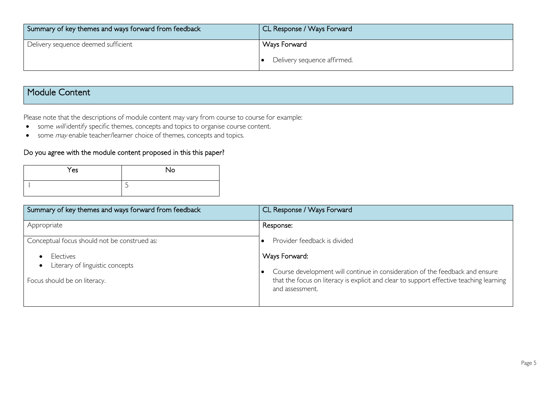| Summary of key themes and ways forward from feedback | CL Response / Ways Forward  |
|------------------------------------------------------|-----------------------------|
| Delivery sequence deemed sufficient                  | Ways Forward                |
|                                                      | Delivery sequence affirmed. |

## Module Content

Please note that the descriptions of module content may vary from course to course for example:

- some will identify specific themes, concepts and topics to organise course content.
- some *may* enable teacher/learner choice of themes, concepts and topics.

### Do you agree with the module content proposed in this this paper?

| Yes | No |
|-----|----|
|     |    |

| Summary of key themes and ways forward from feedback                         | CL Response / Ways Forward                                                                                                                                                                                  |
|------------------------------------------------------------------------------|-------------------------------------------------------------------------------------------------------------------------------------------------------------------------------------------------------------|
| Appropriate                                                                  | Response:                                                                                                                                                                                                   |
| Conceptual focus should not be construed as:                                 | Provider feedback is divided                                                                                                                                                                                |
| Electives<br>Literary of linguistic concepts<br>Focus should be on literacy. | Ways Forward:<br>Course development will continue in consideration of the feedback and ensure<br>that the focus on literacy is explicit and clear to support effective teaching learning<br>and assessment. |